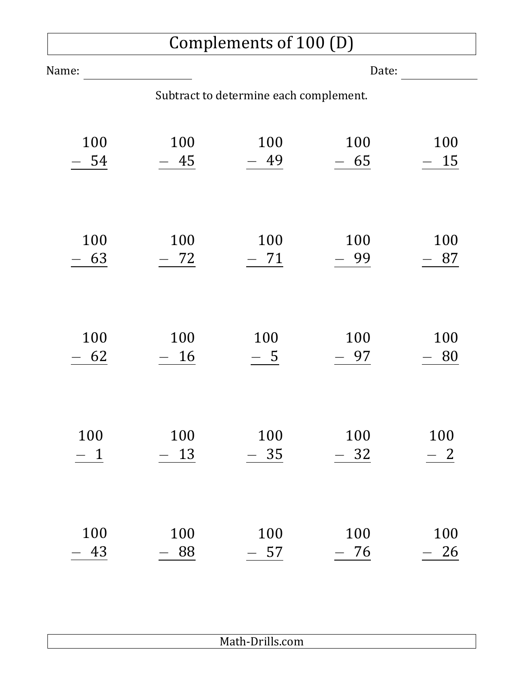## Complements of 100 (D)

| Name:                                  |       | Date: |           |       |  |  |
|----------------------------------------|-------|-------|-----------|-------|--|--|
| Subtract to determine each complement. |       |       |           |       |  |  |
| 100                                    | 100   | 100   | 100       | 100   |  |  |
| 54                                     | $-45$ | $-49$ | $-65$     | $-15$ |  |  |
| 100                                    | 100   | 100   | 100       | 100   |  |  |
| 63                                     | 72    | 71    | 99        | 87    |  |  |
| 100                                    | 100   | 100   | 100       | 100   |  |  |
| 62                                     | 16    | $-5$  | - 97      | 80    |  |  |
| 100                                    | 100   | 100   | 100       | 100   |  |  |
| $\mathbf 1$                            | 13    | 35    | $-32$     | 2     |  |  |
| 100                                    | 100   | 100   | 100       | 100   |  |  |
| 43                                     | 88    | 57    | <u>76</u> | 26    |  |  |

Math-Drills.com